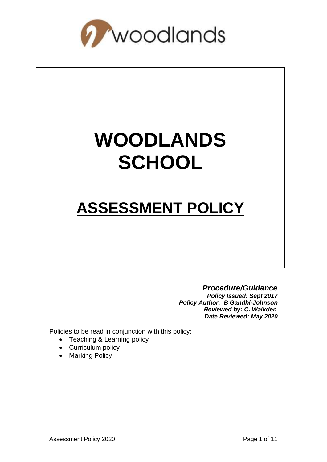

# **WOODLANDS SCHOOL**

## **ASSESSMENT POLICY**

#### *Procedure/Guidance*

*Policy Issued: Sept 2017 Policy Author: B Gandhi-Johnson Reviewed by: C. Walkden Date Reviewed: May 2020*

Policies to be read in conjunction with this policy:

- Teaching & Learning policy
- Curriculum policy
- Marking Policy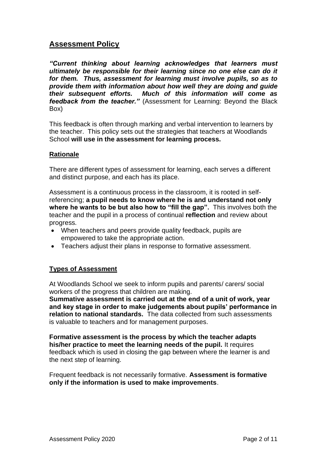#### **Assessment Policy**

*"Current thinking about learning acknowledges that learners must ultimately be responsible for their learning since no one else can do it for them. Thus, assessment for learning must involve pupils, so as to provide them with information about how well they are doing and guide their subsequent efforts. Much of this information will come as feedback from the teacher."* (Assessment for Learning: Beyond the Black Box)

This feedback is often through marking and verbal intervention to learners by the teacher. This policy sets out the strategies that teachers at Woodlands School **will use in the assessment for learning process.**

#### **Rationale**

There are different types of assessment for learning, each serves a different and distinct purpose, and each has its place.

Assessment is a continuous process in the classroom, it is rooted in selfreferencing; **a pupil needs to know where he is and understand not only where he wants to be but also how to "fill the gap".** This involves both the teacher and the pupil in a process of continual **reflection** and review about progress.

- When teachers and peers provide quality feedback, pupils are empowered to take the appropriate action.
- Teachers adjust their plans in response to formative assessment.

#### **Types of Assessment**

At Woodlands School we seek to inform pupils and parents/ carers/ social workers of the progress that children are making.

**Summative assessment is carried out at the end of a unit of work, year and key stage in order to make judgements about pupils' performance in relation to national standards.** The data collected from such assessments is valuable to teachers and for management purposes.

**Formative assessment is the process by which the teacher adapts his/her practice to meet the learning needs of the pupil.** It requires feedback which is used in closing the gap between where the learner is and the next step of learning.

Frequent feedback is not necessarily formative. **Assessment is formative only if the information is used to make improvements**.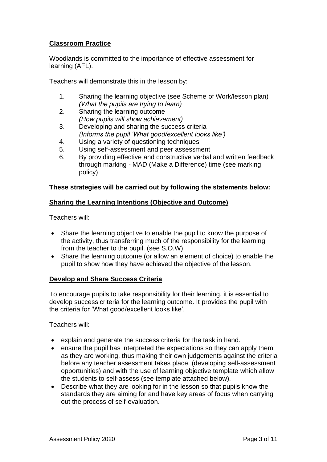#### **Classroom Practice**

Woodlands is committed to the importance of effective assessment for learning (AFL).

Teachers will demonstrate this in the lesson by:

- 1. Sharing the learning objective (see Scheme of Work/lesson plan) *(What the pupils are trying to learn)*
- 2. Sharing the learning outcome *(How pupils will show achievement)*
- 3. Developing and sharing the success criteria *(Informs the pupil 'What good/excellent looks like')*
- 4. Using a variety of questioning techniques
- 5. Using self-assessment and peer assessment
- 6. By providing effective and constructive verbal and written feedback through marking - MAD (Make a Difference) time (see marking policy)

#### **These strategies will be carried out by following the statements below:**

#### **Sharing the Learning Intentions (Objective and Outcome)**

Teachers will:

- Share the learning objective to enable the pupil to know the purpose of the activity, thus transferring much of the responsibility for the learning from the teacher to the pupil. (see S.O.W)
- Share the learning outcome (or allow an element of choice) to enable the pupil to show how they have achieved the objective of the lesson.

#### **Develop and Share Success Criteria**

To encourage pupils to take responsibility for their learning, it is essential to develop success criteria for the learning outcome. It provides the pupil with the criteria for 'What good/excellent looks like'.

Teachers will:

- explain and generate the success criteria for the task in hand.
- ensure the pupil has interpreted the expectations so they can apply them as they are working, thus making their own judgements against the criteria before any teacher assessment takes place. (developing self-assessment opportunities) and with the use of learning objective template which allow the students to self-assess (see template attached below).
- Describe what they are looking for in the lesson so that pupils know the standards they are aiming for and have key areas of focus when carrying out the process of self-evaluation.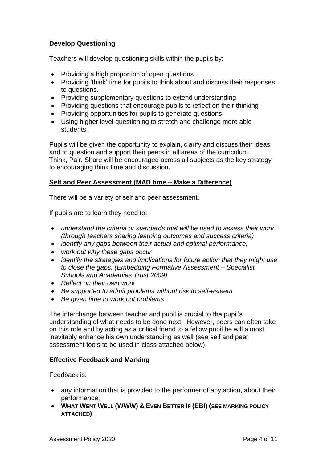#### **Develop Questioning**

Teachers will develop questioning skills within the pupils by:

- Providing a high proportion of open questions
- Providing 'think' time for pupils to think about and discuss their responses to questions.
- Providing supplementary questions to extend understanding
- Providing questions that encourage pupils to reflect on their thinking
- Providing opportunities for pupils to generate questions.
- Using higher level questioning to stretch and challenge more able students.

Pupils will be given the opportunity to explain, clarify and discuss their ideas and to question and support their peers in all areas of the curriculum. Think, Pair, Share will be encouraged across all subjects as the key strategy to encouraging think time and discussion.

#### **Self and Peer Assessment (MAD time – Make a Difference)**

There will be a variety of self and peer assessment.

If pupils are to learn they need to:

- *understand the criteria or standards that will be used to assess their work (through teachers sharing learning outcomes and success criteria)*
- *identify any gaps between their actual and optimal performance,*
- *work out why these gaps occur*
- *identify the strategies and implications for future action that they might use to close the gaps. (Embedding Formative Assessment – Specialist Schools and Academies Trust 2009)*
- *Reflect on their own work*
- *Be supported to admit problems without risk to self-esteem*
- *Be given time to work out problems*

The interchange between teacher and pupil is crucial to the pupil's understanding of what needs to be done next. However, peers can often take on this role and by acting as a critical friend to a fellow pupil he will almost inevitably enhance his own understanding as well (see self and peer assessment tools to be used in class attached below).

#### **Effective Feedback and Marking**

Feedback is:

- any information that is provided to the performer of any action, about their performance;
- **WHAT WENT WELL (WWW) & EVEN BETTER IF (EBI) (SEE MARKING POLICY ATTACHED)**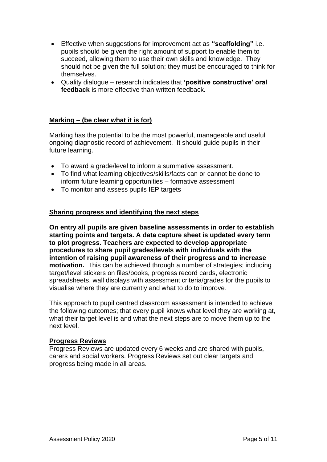- Effective when suggestions for improvement act as **"scaffolding"** i.e. pupils should be given the right amount of support to enable them to succeed, allowing them to use their own skills and knowledge. They should not be given the full solution; they must be encouraged to think for themselves.
- Quality dialogue research indicates that **'positive constructive' oral feedback** is more effective than written feedback.

#### **Marking – (be clear what it is for)**

Marking has the potential to be the most powerful, manageable and useful ongoing diagnostic record of achievement. It should guide pupils in their future learning.

- To award a grade/level to inform a summative assessment.
- To find what learning objectives/skills/facts can or cannot be done to inform future learning opportunities – formative assessment
- To monitor and assess pupils IEP targets

#### **Sharing progress and identifying the next steps**

**On entry all pupils are given baseline assessments in order to establish starting points and targets. A data capture sheet is updated every term to plot progress. Teachers are expected to develop appropriate procedures to share pupil grades/levels with individuals with the intention of raising pupil awareness of their progress and to increase motivation.** This can be achieved through a number of strategies; including target/level stickers on files/books, progress record cards, electronic spreadsheets, wall displays with assessment criteria/grades for the pupils to visualise where they are currently and what to do to improve.

This approach to pupil centred classroom assessment is intended to achieve the following outcomes; that every pupil knows what level they are working at, what their target level is and what the next steps are to move them up to the next level.

#### **Progress Reviews**

Progress Reviews are updated every 6 weeks and are shared with pupils, carers and social workers. Progress Reviews set out clear targets and progress being made in all areas.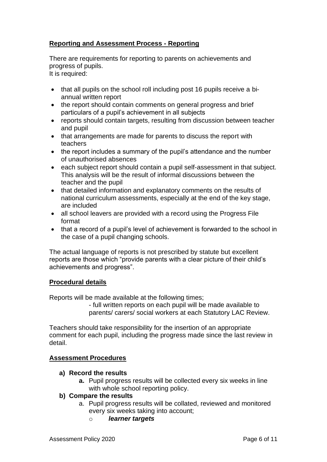#### **Reporting and Assessment Process - Reporting**

There are requirements for reporting to parents on achievements and progress of pupils.

It is required:

- that all pupils on the school roll including post 16 pupils receive a biannual written report
- the report should contain comments on general progress and brief particulars of a pupil's achievement in all subjects
- reports should contain targets, resulting from discussion between teacher and pupil
- that arrangements are made for parents to discuss the report with teachers
- the report includes a summary of the pupil's attendance and the number of unauthorised absences
- each subject report should contain a pupil self-assessment in that subject. This analysis will be the result of informal discussions between the teacher and the pupil
- that detailed information and explanatory comments on the results of national curriculum assessments, especially at the end of the key stage, are included
- all school leavers are provided with a record using the Progress File format
- that a record of a pupil's level of achievement is forwarded to the school in the case of a pupil changing schools.

The actual language of reports is not prescribed by statute but excellent reports are those which "provide parents with a clear picture of their child's achievements and progress".

#### **Procedural details**

Reports will be made available at the following times;

- full written reports on each pupil will be made available to parents/ carers/ social workers at each Statutory LAC Review.

Teachers should take responsibility for the insertion of an appropriate comment for each pupil, including the progress made since the last review in detail.

#### **Assessment Procedures**

- **a) Record the results**
	- **a.** Pupil progress results will be collected every six weeks in line with whole school reporting policy.

#### **b) Compare the results**

- a. Pupil progress results will be collated, reviewed and monitored every six weeks taking into account;
	- o *learner targets*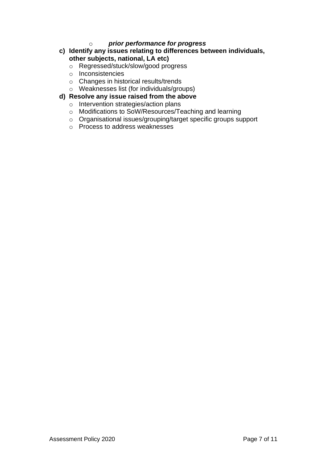#### o *prior performance for progress*

- **c) Identify any issues relating to differences between individuals, other subjects, national, LA etc)**
	- o Regressed/stuck/slow/good progress
	- o Inconsistencies
	- o Changes in historical results/trends
	- o Weaknesses list (for individuals/groups)
- **d) Resolve any issue raised from the above**
	- o Intervention strategies/action plans
	- o Modifications to SoW/Resources/Teaching and learning
	- o Organisational issues/grouping/target specific groups support
	- o Process to address weaknesses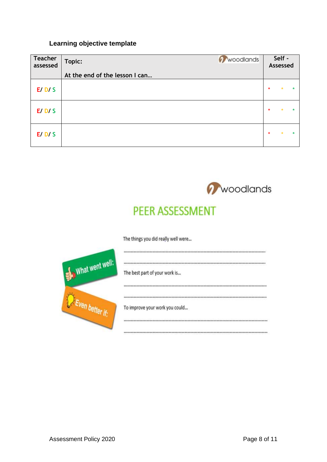#### **Learning objective template**

| <b>Teacher</b><br>assessed | Woodlands<br>Topic:            |         | Self -<br>Assessed |         |
|----------------------------|--------------------------------|---------|--------------------|---------|
|                            | At the end of the lesson I can |         |                    |         |
| E/D/S                      |                                | $\star$ | $\star$            | $\star$ |
| E/D/S                      |                                | $\star$ | $\star$            | $\ast$  |
| E/D/S                      |                                | $\star$ | $\star$            | $\star$ |



### PEER ASSESSMENT

The things you did really well were...

| What went well: | The best part of your work is  |
|-----------------|--------------------------------|
|                 | <b></b>                        |
|                 |                                |
|                 | To improve your work you could |
|                 |                                |
|                 | ***********************        |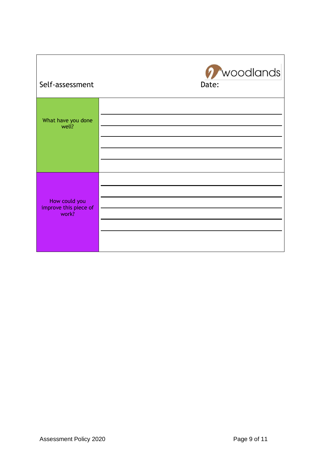| Self-assessment                                 | Woodlands<br>Date: |
|-------------------------------------------------|--------------------|
| What have you done<br>well?                     |                    |
| How could you<br>improve this piece of<br>work? |                    |

Г

┓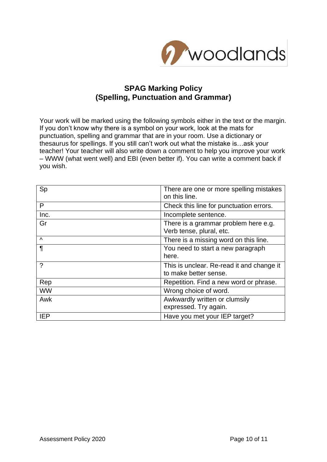

#### **SPAG Marking Policy (Spelling, Punctuation and Grammar)**

Your work will be marked using the following symbols either in the text or the margin. If you don't know why there is a symbol on your work, look at the mats for punctuation, spelling and grammar that are in your room. Use a dictionary or thesaurus for spellings. If you still can't work out what the mistake is…ask your teacher! Your teacher will also write down a comment to help you improve your work – WWW (what went well) and EBI (even better if). You can write a comment back if you wish.

| Sp         | There are one or more spelling mistakes<br>on this line.           |
|------------|--------------------------------------------------------------------|
| P          | Check this line for punctuation errors.                            |
| Inc.       | Incomplete sentence.                                               |
| Gr         | There is a grammar problem here e.g.<br>Verb tense, plural, etc.   |
| $\Lambda$  | There is a missing word on this line.                              |
| $\P$       | You need to start a new paragraph<br>here.                         |
| ?          | This is unclear. Re-read it and change it<br>to make better sense. |
| Rep        | Repetition. Find a new word or phrase.                             |
| <b>WW</b>  | Wrong choice of word.                                              |
| Awk        | Awkwardly written or clumsily<br>expressed. Try again.             |
| <b>IEP</b> | Have you met your IEP target?                                      |